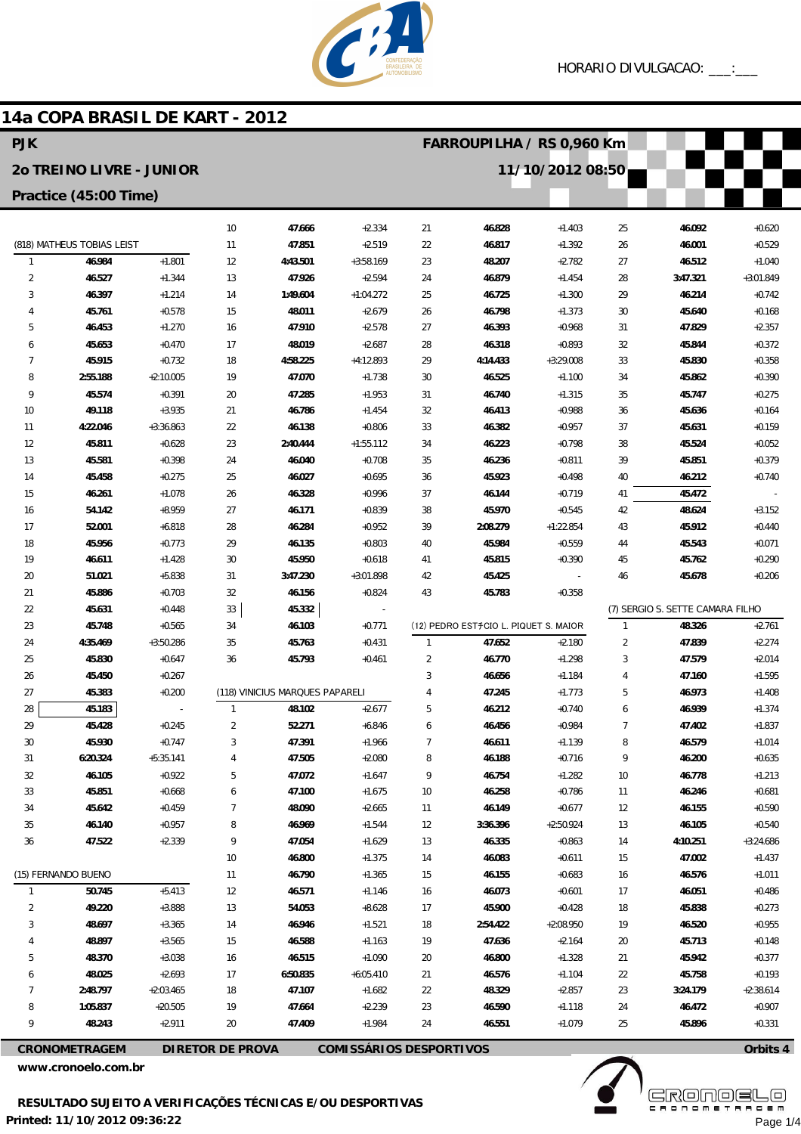

## 14a COPA BRASIL DE KART - 2012

| <b>PJK</b>                 |                          |                      |                         |                                 |                                |                  | FARROUPILHA / RS 0,960 Km             |                      |                |                                  |                      |  |
|----------------------------|--------------------------|----------------------|-------------------------|---------------------------------|--------------------------------|------------------|---------------------------------------|----------------------|----------------|----------------------------------|----------------------|--|
|                            | 20 TREINO LIVRE - JUNIOR |                      |                         |                                 |                                | 11/10/2012 08:50 |                                       |                      |                |                                  |                      |  |
| Practice (45:00 Time)      |                          |                      |                         |                                 |                                |                  |                                       |                      |                |                                  |                      |  |
|                            |                          |                      | 10                      | 47.666                          | $+2.334$                       | 21               | 46.828                                | $+1.403$             | 25             | 46.092                           | $+0.620$             |  |
| (818) MATHEUS TOBIAS LEIST |                          | 11                   | 47.851                  | $+2.519$                        | 22                             | 46.817           | $+1.392$                              | 26                   | 46.001         | $+0.529$                         |                      |  |
| $\mathbf{1}$               | 46.984                   | $+1.801$             | 12                      | 4:43.501                        | $+3:58.169$                    | 23               | 48.207                                | $+2.782$             | 27             | 46.512                           | $+1.040$             |  |
| $\overline{2}$             | 46.527                   | $+1.344$             | 13                      | 47.926                          | $+2.594$                       | 24               | 46.879                                | $+1.454$             | 28             | 3:47.321                         | $+3:01.849$          |  |
| 3                          | 46.397                   | $+1.214$             | 14                      | 1:49.604                        | $+1:04.272$                    | 25               | 46.725                                | $+1.300$             | 29             | 46.214                           | $+0.742$             |  |
| $\overline{4}$             | 45.761                   | $+0.578$             | 15                      | 48.011                          | $+2.679$                       | 26               | 46.798                                | $+1.373$             | 30             | 45.640                           | $+0.168$             |  |
| 5                          | 46.453                   | $+1.270$             | 16                      | 47.910                          | $+2.578$                       | 27               | 46.393                                | $+0.968$             | 31             | 47.829                           | $+2.357$             |  |
| 6                          | 45.653                   | $+0.470$             | 17                      | 48.019                          | $+2.687$                       | 28               | 46.318                                | $+0.893$             | 32             | 45.844                           | $+0.372$             |  |
| 7                          | 45.915                   | $+0.732$             | 18                      | 4:58.225                        | $+4:12.893$                    | 29               | 4:14.433                              | $+3:29.008$          | 33             | 45.830                           | $+0.358$             |  |
| 8                          | 2:55.188                 | $+2:10.005$          | 19                      | 47.070                          | $+1.738$                       | 30               | 46.525                                | $+1.100$             | 34             | 45.862                           | $+0.390$             |  |
| 9                          | 45.574                   | $+0.391$             | 20                      | 47.285                          | $+1.953$                       | 31               | 46.740                                | $+1.315$             | 35             | 45.747                           | $+0.275$             |  |
| 10                         | 49.118                   | $+3.935$             | 21                      | 46.786                          | $+1.454$                       | 32               | 46.413                                | $+0.988$             | 36             | 45.636                           | $+0.164$             |  |
| 11                         | 4:22.046                 | $+3:36.863$          | 22                      | 46.138                          | $+0.806$                       | 33               | 46.382                                | $+0.957$             | 37             | 45.631                           | $+0.159$             |  |
| 12                         | 45.811                   | $+0.628$             | 23                      | 2:40.444                        | $+1:55.112$                    | 34               | 46.223                                | $+0.798$             | 38             | 45.524                           | $+0.052$             |  |
| 13                         | 45.581                   | $+0.398$             | 24                      | 46.040                          | $+0.708$                       | 35               | 46.236                                | $+0.811$             | 39             | 45.851                           | $+0.379$             |  |
| 14                         | 45.458                   | $+0.275$             | 25                      | 46.027                          | $+0.695$                       | 36               | 45.923                                | $+0.498$             | 40             | 46.212                           | $+0.740$             |  |
| 15                         | 46.261                   | $+1.078$<br>$+8.959$ | 26<br>27                | 46.328<br>46.171                | $+0.996$                       | 37               | 46.144                                | $+0.719$<br>$+0.545$ | 41             | 45.472<br>48.624                 |                      |  |
| 16<br>17                   | 54.142<br>52.001         | $+6.818$             | 28                      | 46.284                          | $+0.839$<br>$+0.952$           | 38<br>39         | 45.970<br>2:08.279                    | $+1:22.854$          | 42<br>43       | 45.912                           | $+3.152$<br>$+0.440$ |  |
| 18                         | 45.956                   | $+0.773$             | 29                      | 46.135                          | $+0.803$                       | 40               | 45.984                                | $+0.559$             | 44             | 45.543                           | $+0.071$             |  |
| 19                         | 46.611                   | $+1.428$             | 30                      | 45.950                          | $+0.618$                       | 41               | 45.815                                | $+0.390$             | 45             | 45.762                           | $+0.290$             |  |
| 20                         | 51.021                   | $+5.838$             | 31                      | 3:47.230                        | $+3:01.898$                    | 42               | 45.425                                |                      | 46             | 45.678                           | $+0.206$             |  |
| 21                         | 45.886                   | $+0.703$             | 32                      | 46.156                          | $+0.824$                       | 43               | 45.783                                | $+0.358$             |                |                                  |                      |  |
| 22                         | 45.631                   | $+0.448$             | 33                      | 45.332                          |                                |                  |                                       |                      |                | (7) SERGIO S. SETTE CAMARA FILHO |                      |  |
| 23                         | 45.748                   | $+0.565$             | 34                      | 46.103                          | $+0.771$                       |                  | (12) PEDRO EST#CIO L. PIQUET S. MAIOR |                      | $\mathbf{1}$   | 48.326                           | $+2.761$             |  |
| 24                         | 4:35.469                 | $+3:50.286$          | 35                      | 45.763                          | $+0.431$                       | $\mathbf{1}$     | 47.652                                | $+2.180$             | $\overline{2}$ | 47.839                           | $+2.274$             |  |
| 25                         | 45.830                   | $+0.647$             | 36                      | 45.793                          | $+0.461$                       | $\overline{2}$   | 46.770                                | $+1.298$             | 3              | 47.579                           | $+2.014$             |  |
| 26                         | 45.450                   | $+0.267$             |                         |                                 |                                | 3                | 46.656                                | $+1.184$             | 4              | 47.160                           | $+1.595$             |  |
| 27                         | 45.383                   | $+0.200$             |                         | (118) VINICIUS MARQUES PAPARELI |                                | 4                | 47.245                                | $+1.773$             | 5              | 46.973                           | $+1.408$             |  |
| 28                         | 45.183                   |                      | $\mathbf{1}$            | 48.102                          | $+2.677$                       | 5                | 46.212                                | $+0.740$             | 6              | 46.939                           | $+1.374$             |  |
| 29                         | 45.428                   | $+0.245$             | $\overline{2}$          | 52.271                          | $+6.846$                       | 6                | 46.456                                | $+0.984$             | $\overline{7}$ | 47.402                           | $+1.837$             |  |
| 30                         | 45.930                   | $+0.747$             | 3                       | 47.391                          | $+1.966$                       | 7                | 46.611                                | $+1.139$             | 8              | 46.579                           | $+1.014$             |  |
| 31                         | 6:20.324                 | $+5:35.141$          | 4                       | 47.505                          | $+2.080$                       | 8                | 46.188                                | $+0.716$             | 9              | 46.200                           | $+0.635$             |  |
| 32                         | 46.105                   | $+0.922$             | 5                       | 47.072                          | $+1.647$                       | 9                | 46.754                                | $+1.282$             | 10             | 46.778                           | $+1.213$             |  |
| 33                         | 45.851                   | $+0.668$             | 6                       | 47.100                          | $+1.675$                       | 10               | 46.258                                | $+0.786$             | 11             | 46.246                           | $+0.681$             |  |
| 34                         | 45.642                   | $+0.459$             | 7                       | 48.090                          | $+2.665$                       | 11               | 46.149                                | $+0.677$             | 12             | 46.155                           | $+0.590$             |  |
| 35                         | 46.140                   | $+0.957$             | 8                       | 46.969                          | $+1.544$                       | 12               | 3:36.396                              | $+2:50.924$          | 13             | 46.105                           | $+0.540$             |  |
| 36                         | 47.522                   | $+2.339$             | 9                       | 47.054                          | $+1.629$                       | 13               | 46.335                                | $+0.863$             | 14             | 4:10.251                         | $+3:24.686$          |  |
|                            |                          |                      | 10                      | 46.800                          | $+1.375$                       | 14               | 46.083                                | $+0.611$             | 15             | 47.002                           | $+1.437$             |  |
|                            | (15) FERNANDO BUENO      |                      | 11                      | 46.790                          | $+1.365$                       | 15               | 46.155                                | $+0.683$             | 16             | 46.576                           | $+1.011$             |  |
| $\mathbf{1}$               | 50.745                   | $+5.413$             | 12                      | 46.571                          | $+1.146$                       | 16               | 46.073                                | $+0.601$             | 17             | 46.051                           | $+0.486$             |  |
| 2                          | 49.220                   | $+3.888$             | 13                      | 54.053                          | $+8.628$                       | 17               | 45.900                                | $+0.428$             | 18             | 45.838                           | $+0.273$             |  |
| 3                          | 48.697                   | $+3.365$             | 14                      | 46.946                          | $+1.521$                       | 18               | 2:54.422                              | $+2:08.950$          | 19             | 46.520                           | $+0.955$             |  |
| 4                          | 48.897                   | $+3.565$             | 15                      | 46.588                          | $+1.163$                       | 19               | 47.636                                | $+2.164$             | 20             | 45.713                           | $+0.148$             |  |
| 5<br>6                     | 48.370<br>48.025         | $+3.038$<br>$+2.693$ | 16<br>17                | 46.515<br>6:50.835              | $+1.090$<br>$+6:05.410$        | 20               | 46.800<br>46.576                      | $+1.328$<br>$+1.104$ | 21<br>22       | 45.942<br>45.758                 | $+0.377$<br>$+0.193$ |  |
| 7                          | 2:48.797                 | $+2:03.465$          | 18                      | 47.107                          | $+1.682$                       | 21<br>22         | 48.329                                | $+2.857$             | 23             | 3:24.179                         | $+2:38.614$          |  |
| 8                          | 1:05.837                 | $+20.505$            | 19                      | 47.664                          | $+2.239$                       | 23               | 46.590                                | $+1.118$             | 24             | 46.472                           | $+0.907$             |  |
| 9                          | 48.243                   | $+2.911$             | 20                      | 47.409                          | $+1.984$                       | 24               | 46.551                                | $+1.079$             | 25             | 45.896                           | $+0.331$             |  |
|                            |                          |                      |                         |                                 |                                |                  |                                       |                      |                |                                  |                      |  |
|                            | <b>CRONOMETRAGEM</b>     |                      | <b>DIRETOR DE PROVA</b> |                                 | <b>COMISSÁRIOS DESPORTIVOS</b> |                  |                                       |                      |                |                                  | Orbits 4             |  |

www.cronoelo.com.br

**Ekövő S** Page 1/4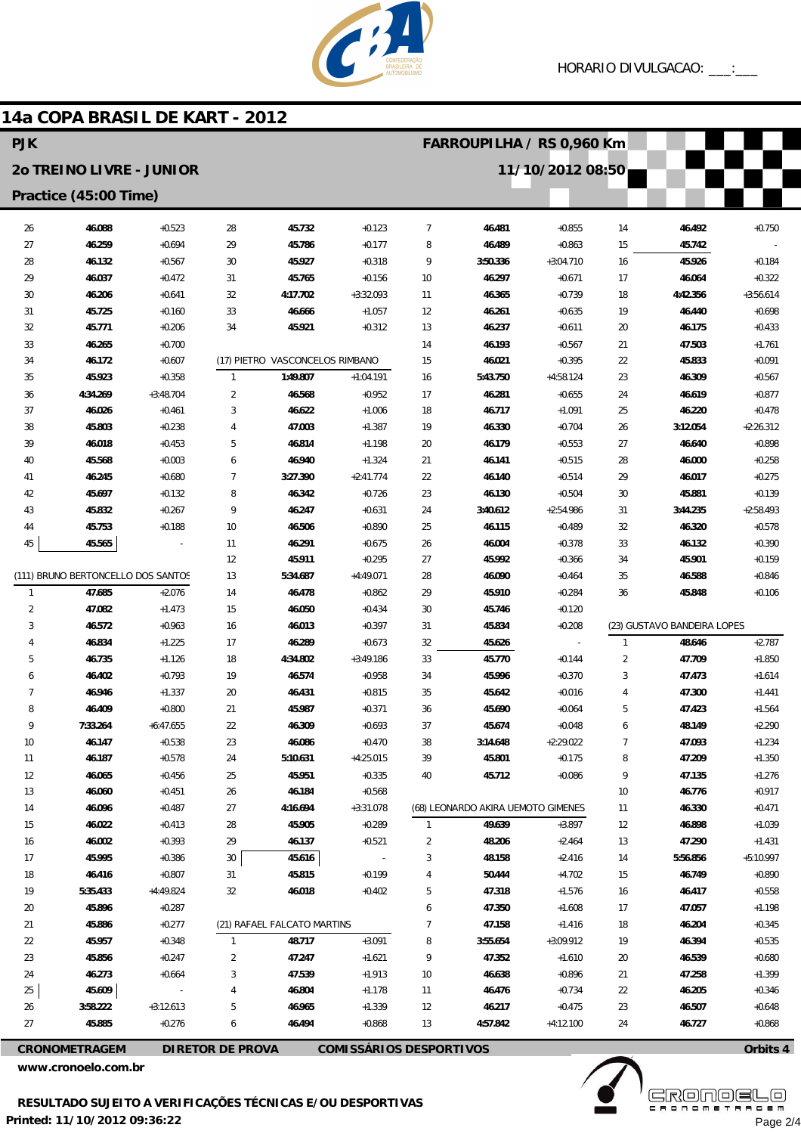

## 14a COPA BRASIL DE KART - 2012 **PIK FARROUPILHA / RS 0.960 Km** 20 TREINO LIVRE - JUNIOR 11/10/2012 08:50 Practice (45:00 Time)  $\overline{7}$ 26 46.088  $+0.523$  $28$ 45.732  $+0.123$ 46.481  $+0.855$ 46.492 14  $+0.750$  $27$ 46.259  $+0.694$ 29 45.786  $+0.177$ 8 46.489  $+0.863$ 15 45.742  $\overline{9}$  $28$ 46.132  $+0.567$  $30$ 45.927  $+0.318$ 3:50.336  $+3:04.710$  $16$ 45.926  $+0.184$  $\overline{2}$ 46037  $+0.472$  $31$ 45765  $+0.156$  $10$ 46 297  $+0.671$  $17$ 46064  $+0.322$ 30 4:17.702  $+3:32.093$ 4:42.356 46.206  $+0.641$ 32  $11$ 46.365  $+0.739$ 18  $+3:56.614$ 33 46.666  $+1.057$  $31$ 45.725  $+0.160$ 12 46.261  $+0.635$ 19 46.440  $+0.698$  $32$ 45.771  $+0.206$ 34 45.921  $+0.312$ 13 46.237  $+0.611$  $20$ 46.175  $+0.433$ 33 47.503 46.265  $+0.700$ 14 46.193  $+0.567$ 21  $+1.761$ (17) PIETRO VASCONCELOS RIMBANO  $34$ 46172  $+0.607$ 15 46.021  $+0.395$  $22$ 45833  $+0.091$ 35 45.923  $+0.358$  $\overline{1}$ 1:49.807  $+1:04.191$ 16 5:43.750  $+4:58.124$ 23 46.309  $+0.567$  $\overline{2}$  $4.34269$  $+3.48704$  $+0.952$  $17$ 46 281  $24$ 46619  $+0.877$  $36$ 46568  $+0.655$  $\overline{3}$  $27$ 46026  $+0.461$ 46622  $+1.006$ 18 46717  $+1.091$  $25$ 46220  $+0.478$ 38 45.803  $+0.238$  $\overline{4}$ 47.003 19 46.330  $3:12.054$  $+2:26.312$  $+1.387$  $+0.704$  $26$  $\overline{5}$ 39 46.018  $+0.453$ 46.814  $20$ 46.179  $+0.553$  $27$ 46.640  $+0.898$  $+1198$  $40$ 45.568  $+0.003$  $\ddot{\mathbf{6}}$ 46.940  $+1.324$  $21$ 46.141  $+0.515$ 28 46,000  $+0.258$  $\overline{7}$ 46.017 46.245  $+0.680$ 3:27.390  $+2:41.774$  $22$ 46.140  $+0.514$ 29  $+0.275$ 41  $\Delta$ 2 45,697  $+0.132$  $\overline{8}$ 46.342  $+0.726$  $23$ 46.130  $+0.504$ 30 45881  $+0.139$  $4<sub>3</sub>$ 45.832  $+0.267$  $\overline{q}$ 46.247  $+0.631$  $\overline{24}$ 3:40.612  $+2:54.986$  $\overline{31}$ 3:44.235  $+2:58.493$  $44$ 45.753  $+0.188$  $10$ 46.506  $+0.890$ 25 46.115  $+0.489$  $32$ 46.320  $+0.578$  $\overline{AB}$ 45.565  $11$ 44.201  $+0.675$  $26$ 46.004  $+0.378$ ่วว 46132  $+0.390$  $12$ 45.911  $+0.295$ 27 45.992  $+0.366$ 34 45.901  $+0.159$ (111) BRUNO BERTONCELLO DOS SANTOS  $13$ 5-34 687  $+4.49011$  $28$ 46.090  $35$ 46588  $+0.464$  $+0.846$ 46.478 45.910  $\overline{1}$ 47.685  $+2.076$  $14$  $+0.862$ 29  $+0.284$ 36 45.848  $+0.106$  $\overline{2}$ 47.082 46.050  $30$ 45.746  $+1.473$ 15  $+0.434$  $+0.120$  $\overline{3}$  $\overline{31}$ (23) GUSTAVO BANDEIRA LOPES 46572  $+0.963$  $16$ 46013  $+0.397$ 45834  $+0.208$  $\overline{4}$ 46.834  $+1.225$  $17$ 46.289  $+0.673$ 32 45.626 48.646  $+2.787$  $4:34.802$ 45.770  $\overline{\mathbf{c}}$  $\overline{5}$ 46.735  $+3.49186$  $33$ 47.709  $+1126$ 18  $+0.144$  $+1850$ 46.402  $+0.793$ 19 46.574  $+0.958$ 34 45.996  $+0.370$  $\overline{3}$ 47.473 6  $+1.614$  $\overline{1}$ 46.946  $+1.337$ 20 46.431  $+0.815$ 35 45.642  $+0.016$ 47.300  $\overline{4}$  $+1.441$ 8 46.409  $+0.800$ 21 45.987  $+0.371$ 36 45.690  $+0.064$ 5 47.423  $+1.564$  $\overline{9}$ 7:33.264  $+6:47.655$  $22$ 46.309  $+0.693$ 37 45.674  $+0.048$  $\ddot{\mathbf{6}}$ 48.149  $+2.290$  $10$ 46.147  $+0.538$ 23 46.086  $+0.470$ 38 3:14.648  $+2:29.022$  $\overline{1}$ 47.093  $+1.234$ 11 46.187  $+0.578$ 24 5:10.631  $+4:25.015$ 39 45.801  $+0.175$ 8 47.209  $+1.350$  $12$ 46.065  $+0.456$  $25$ 45.951  $+0.335$  $40$ 45.712  $+0.086$  $\overline{g}$ 47.135  $+1.276$  $13$ 46.060  $+0.451$  $26$ 46.184  $+0.568$  $10$ 46.776  $+0.917$ 46.096  $+0.487$ 4:16.694  $+3:31.078$ (68) LEONARDO AKIRA UEMOTO GIMENES  $+0.471$ 14  $27$  $11$ 46.330  $15$ 46.022  $+0.413$  $28$ 45.905  $+0.289$ 49.639  $+3.897$  $12$ 46.898  $+1.039$  $\overline{1}$  $16$ 46.002  $+0.393$ 29 46.137  $+0.521$  $\overline{2}$ 48.206  $+2.464$  $13$ 47.290  $+1.431$ 45.995  $17$  $+0.386$  $30$ 45.616  $\overline{3}$ 48.158  $+2.416$  $14$ 5:56.856  $+5:10.997$ 18 46.416  $+0.807$  $\overline{31}$ 45.815  $+0.199$  $\overline{4}$ 50.444  $+4702$  $15$ 46.749  $+0.890$ 19 5:35.433  $+4:49.824$  $32$ 46.018  $+0.402$  $\sqrt{5}$ 47.318  $+1.576$ 46.417  $+0.558$  $16$ 47.350  $\overline{20}$ 45.896  $+0.287$  $\ddot{\mathbf{6}}$  $+1608$  $17$ 47.057  $+1.198$ (21) RAFAEL FALCATO MARTINS  $\overline{7}$ 47158  $21$ 45886  $+0.277$  $+1416$ 18 46204  $+0.345$  $22$ 45.957  $+0.348$ 48.717  $+3.091$ 8 3:55.654  $+3:09.912$  $19$ 46.394  $+0.535$  $\overline{1}$  $\overline{9}$ 23 45.856  $+0.247$  $\overline{2}$ 47.247 47.352  $+1.610$ 46.539  $+0.680$  $+1.621$ 20 24 46.273  $+0.664$  $\overline{3}$ 47.539  $+1.913$  $10\,$ 46.638  $+0.896$  $21$ 47.258  $+1.399$  $25$ 45.609  $\overline{4}$ 46.804  $+1178$  $11$ 46.476  $+0.734$  $22$ 46.205  $+0.346$ 3:58.222 5 46.965  $23$  $26$  $+3.12613$  $+1.339$  $12$ 46.217  $+0.475$ 46.507  $+0.648$  $\overline{27}$ 45.885  $+0.276$  $\overline{6}$ 46.494  $+0.868$  $13$ 4:57.842  $+4:12.100$  $\overline{24}$ 46.727  $+0.868$

**CRONOMETRAGEM DIRETOR DE PROVA**  **COMISSÁRIOS DESPORTIVOS** 

www.cronoelo.com.br



Page 2/4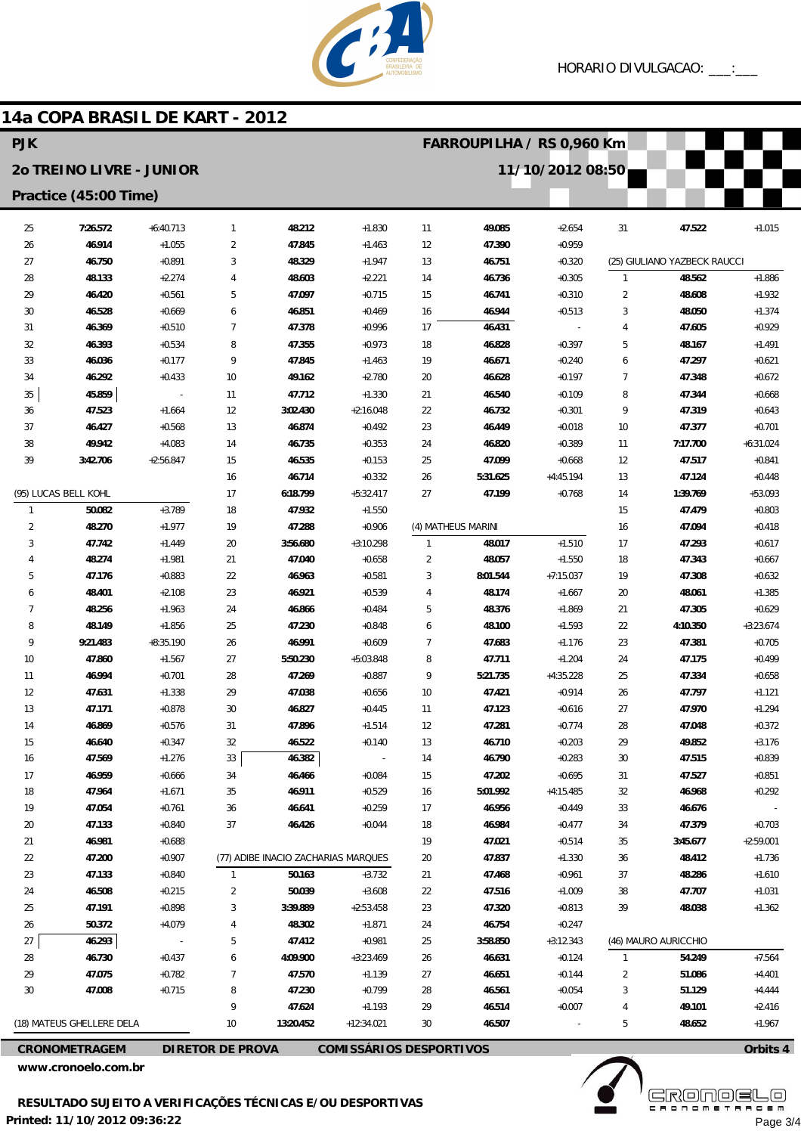

## 14a COPA BRASIL DE KART - 2012

| <b>PJK</b>                                   |                      |             |                         |           |                                     |                | FARROUPILHA / RS 0,960 Km |             |                |                              |             |  |
|----------------------------------------------|----------------------|-------------|-------------------------|-----------|-------------------------------------|----------------|---------------------------|-------------|----------------|------------------------------|-------------|--|
| 11/10/2012 08:50<br>20 TREINO LIVRE - JUNIOR |                      |             |                         |           |                                     |                |                           |             |                |                              |             |  |
| Practice (45:00 Time)                        |                      |             |                         |           |                                     |                |                           |             |                |                              |             |  |
| 25                                           | 7:26.572             | $+6:40.713$ | $\mathbf{1}$            | 48.212    | $+1.830$                            | 11             | 49.085                    | $+2.654$    | 31             | 47.522                       | $+1.015$    |  |
| 26                                           | 46.914               | $+1.055$    | $\overline{2}$          | 47.845    | $+1.463$                            | 12             | 47.390                    | $+0.959$    |                |                              |             |  |
| 27                                           | 46.750               | $+0.891$    | 3                       | 48.329    | $+1.947$                            | 13             | 46.751                    | $+0.320$    |                | (25) GIULIANO YAZBECK RAUCCI |             |  |
| 28                                           | 48.133               | $+2.274$    | 4                       | 48.603    | $+2.221$                            | 14             | 46.736                    | $+0.305$    | $\mathbf{1}$   | 48.562                       | $+1.886$    |  |
| 29                                           | 46.420               | $+0.561$    | 5                       | 47.097    | $+0.715$                            | 15             | 46.741                    | $+0.310$    | 2              | 48.608                       | $+1.932$    |  |
| 30                                           | 46.528               | $+0.669$    | 6                       | 46.851    | $+0.469$                            | 16             | 46.944                    | $+0.513$    | 3              | 48.050                       | $+1.374$    |  |
| 31                                           | 46.369               | $+0.510$    | 7                       | 47.378    | $+0.996$                            | 17             | 46.431                    |             | 4              | 47.605                       | $+0.929$    |  |
| 32                                           | 46.393               | $+0.534$    | 8                       | 47.355    | $+0.973$                            | 18             | 46.828                    | $+0.397$    | 5              | 48.167                       | $+1.491$    |  |
| 33                                           | 46.036               | $+0.177$    | 9                       | 47.845    | $+1.463$                            | 19             | 46.671                    | $+0.240$    | 6              | 47.297                       | $+0.621$    |  |
| 34                                           | 46.292               | $+0.433$    | 10                      | 49.162    | $+2.780$                            | 20             | 46.628                    | $+0.197$    | $\overline{7}$ | 47.348                       | $+0.672$    |  |
| 35                                           | 45.859               | $\sim$      | 11                      | 47.712    | $+1.330$                            | 21             | 46.540                    | $+0.109$    | 8              | 47.344                       | $+0.668$    |  |
| 36                                           | 47.523               | $+1.664$    | 12                      | 3:02.430  | $+2:16.048$                         | 22             | 46.732                    | $+0.301$    | 9              | 47.319                       | $+0.643$    |  |
| 37                                           | 46.427               | $+0.568$    | 13                      | 46.874    | $+0.492$                            | 23             | 46.449                    | $+0.018$    | 10             | 47.377                       | $+0.701$    |  |
| 38                                           | 49.942               | $+4.083$    | 14                      | 46.735    | $+0.353$                            | 24             | 46.820                    | $+0.389$    | 11             | 7:17.700                     | $+6:31.024$ |  |
| 39                                           | 3:42.706             | $+2:56.847$ | 15                      | 46.535    | $+0.153$                            | 25             | 47.099                    | $+0.668$    | 12             | 47.517                       | $+0.841$    |  |
|                                              |                      |             | 16                      | 46.714    | $+0.332$                            | 26             | 5:31.625                  | $+4:45.194$ | 13             | 47.124                       | $+0.448$    |  |
|                                              | (95) LUCAS BELL KOHL |             | 17                      | 6:18.799  | $+5:32.417$                         | 27             | 47.199                    | $+0.768$    | 14             | 1:39.769                     | $+53.093$   |  |
| $\overline{1}$                               | 50.082               | $+3.789$    | 18                      | 47.932    | $+1.550$                            |                |                           |             | 15             | 47.479                       | $+0.803$    |  |
| $\overline{2}$                               | 48.270               | $+1.977$    | 19                      | 47.288    | $+0.906$                            |                | (4) MATHEUS MARINI        |             | 16             | 47.094                       | $+0.418$    |  |
| 3                                            | 47.742               | $+1.449$    | 20                      | 3:56.680  | $+3:10.298$                         | $\mathbf{1}$   | 48.017                    | $+1.510$    | 17             | 47.293                       | $+0.617$    |  |
| 4                                            | 48.274               | $+1.981$    | 21                      | 47.040    | $+0.658$                            | $\overline{2}$ | 48.057                    | $+1.550$    | 18             | 47.343                       | $+0.667$    |  |
| 5                                            | 47.176               | $+0.883$    | 22                      | 46.963    | $+0.581$                            | 3              | 8:01.544                  | $+7:15.037$ | 19             | 47.308                       | $+0.632$    |  |
| 6                                            | 48.401               | $+2.108$    | 23                      | 46.921    | $+0.539$                            | 4              | 48.174                    | $+1.667$    | 20             | 48.061                       | $+1.385$    |  |
| 7                                            | 48.256               | $+1.963$    | 24                      | 46.866    | $+0.484$                            | 5              | 48.376                    | $+1.869$    | 21             | 47.305                       | $+0.629$    |  |
| 8                                            | 48.149               | $+1.856$    | 25                      | 47.230    | $+0.848$                            | 6              | 48.100                    | $+1.593$    | 22             | 4:10.350                     | $+3:23.674$ |  |
| 9                                            | 9:21.483             | $+8:35.190$ | 26                      | 46.991    | $+0.609$                            | $\overline{7}$ | 47.683                    | $+1.176$    | 23             | 47.381                       | $+0.705$    |  |
| 10                                           | 47.860               | $+1.567$    | 27                      | 5:50.230  | +5:03.848                           | 8              | 47.711                    | $+1.204$    | 24             | 47.175                       | $+0.499$    |  |
| 11                                           | 46.994               | $+0.701$    | 28                      | 47.269    | $+0.887$                            | 9              | 5:21.735                  | $+4:35.228$ | 25             | 47.334                       | $+0.658$    |  |
| 12                                           | 47.631               | $+1.338$    | 29                      | 47.038    | $+0.656$                            | 10             | 47.421                    | $+0.914$    | 26             | 47.797                       | $+1.121$    |  |
| 13                                           | 47.171               | $+0.878$    | 30                      | 46.827    | $+0.445$                            | 11             | 47.123                    | $+0.616$    | 27             | 47.970                       | $+1.294$    |  |
| 14                                           | 46.869               | $+0.576$    | 31                      | 47.896    | $+1.514$                            | 12             | 47.281                    | $+0.774$    | 28             | 47.048                       | $+0.372$    |  |
| 15                                           | 46.640               | $+0.347$    | 32                      | 46.522    | $+0.140$                            | 13             | 46.710                    | $+0.203$    | 29             | 49.852                       | $+3.176$    |  |
| 16                                           | 47.569               | $+1.276$    | 33                      | 46.382    | $\qquad \qquad -$                   | 14             | 46.790                    | $+0.283$    | 30             | 47.515                       | $+0.839$    |  |
| 17                                           | 46.959               | $+0.666$    | 34                      | 46.466    | $+0.084$                            | 15             | 47.202                    | $+0.695$    | 31             | 47.527                       | $+0.851$    |  |
| 18                                           | 47.964               | $+1.671$    | 35                      | 46.911    | $+0.529$                            | 16             | 5:01.992                  | $+4:15.485$ | 32             | 46.968                       | $+0.292$    |  |
| 19                                           | 47.054               | $+0.761$    | 36                      | 46.641    | $+0.259$                            | 17             | 46.956                    | $+0.449$    | 33             | 46.676                       |             |  |
| 20                                           | 47.133               | $+0.840$    | 37                      | 46.426    | $+0.044$                            | 18             | 46.984                    | $+0.477$    | 34             | 47.379                       | $+0.703$    |  |
| 21                                           | 46.981               | $+0.688$    |                         |           |                                     | 19             | 47.021                    | $+0.514$    | 35             | 3:45.677                     | $+2:59.001$ |  |
| 22                                           | 47.200               | $+0.907$    |                         |           | (77) ADIBE INACIO ZACHARIAS MARQUES | $20\,$         | 47.837                    | $+1.330$    | 36             | 48.412                       | $+1.736$    |  |
| 23                                           | 47.133               | $+0.840$    | 1                       | 50.163    | $+3.732$                            | 21             | 47.468                    | $+0.961$    | 37             | 48.286                       | $+1.610$    |  |
| 24                                           | 46.508               | $+0.215$    | 2                       | 50.039    | $+3.608$                            | 22             | 47.516                    | $+1.009$    | 38             | 47.707                       | $+1.031$    |  |
| 25                                           | 47.191               | $+0.898$    | 3                       | 3:39.889  | $+2:53.458$                         | 23             | 47.320                    | $+0.813$    | 39             | 48.038                       | $+1.362$    |  |
| 26                                           | 50.372               | $+4.079$    | 4                       | 48.302    | $+1.871$                            | 24             | 46.754                    | $+0.247$    |                |                              |             |  |
| 27                                           | 46.293               |             | 5                       | 47.412    | $+0.981$                            | 25             | 3:58.850                  | $+3:12.343$ |                | (46) MAURO AURICCHIO         |             |  |
| 28                                           | 46.730               | $+0.437$    | 6                       | 4:09.900  | $+3:23.469$                         | 26             | 46.631                    | $+0.124$    | $\mathbf{1}$   | 54.249                       | $+7.564$    |  |
| 29                                           | 47.075               | $+0.782$    | 7                       | 47.570    | $+1.139$                            | 27             | 46.651                    | $+0.144$    | $\overline{2}$ | 51.086                       | $+4.401$    |  |
| 30                                           | 47.008               | $+0.715$    | 8                       | 47.230    | $+0.799$                            | 28             | 46.561                    | $+0.054$    | 3              | 51.129                       | $+4.444$    |  |
|                                              |                      |             | 9                       | 47.624    | $+1.193$                            | 29             | 46.514                    | $+0.007$    | 4              | 49.101                       | $+2.416$    |  |
| (18) MATEUS GHELLERE DELA                    |                      |             | 10                      | 13:20.452 | $+12:34.021$                        | 30             | 46.507                    |             | 5              | 48.652                       | $+1.967$    |  |
| <b>CRONOMETRAGEM</b>                         |                      |             | <b>DIRETOR DE PROVA</b> |           | <b>COMISSÁRIOS DESPORTIVOS</b>      |                |                           |             |                |                              | Orbits 4    |  |

www.cronoelo.com.br

**Ekövő S** 

Orbits 4

Page 3/4